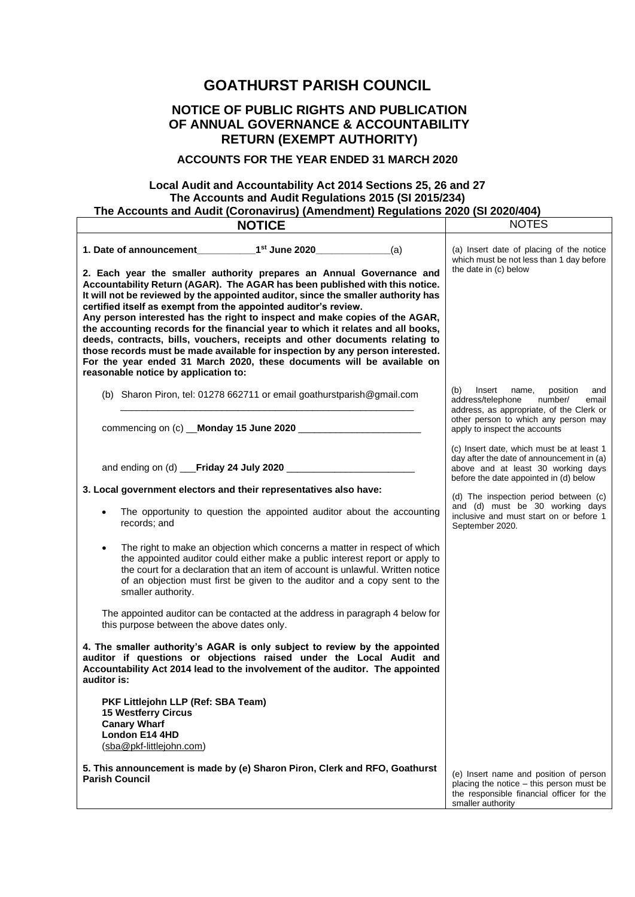## **GOATHURST PARISH COUNCIL**

## **NOTICE OF PUBLIC RIGHTS AND PUBLICATION OF ANNUAL GOVERNANCE & ACCOUNTABILITY RETURN (EXEMPT AUTHORITY)**

## **ACCOUNTS FOR THE YEAR ENDED 31 MARCH 2020**

## **Local Audit and Accountability Act 2014 Sections 25, 26 and 27 The Accounts and Audit Regulations 2015 (SI 2015/234) The Accounts and Audit (Coronavirus) (Amendment) Regulations 2020 (SI 2020/404)**

| <b>NOTICE</b>                                                                                                                                                                                                                                                                                                                                                                                                                                     | <b>NOTES</b>                                                                                                                                                           |
|---------------------------------------------------------------------------------------------------------------------------------------------------------------------------------------------------------------------------------------------------------------------------------------------------------------------------------------------------------------------------------------------------------------------------------------------------|------------------------------------------------------------------------------------------------------------------------------------------------------------------------|
| 2. Each year the smaller authority prepares an Annual Governance and                                                                                                                                                                                                                                                                                                                                                                              | (a) Insert date of placing of the notice<br>which must be not less than 1 day before<br>the date in (c) below                                                          |
| Accountability Return (AGAR). The AGAR has been published with this notice.<br>It will not be reviewed by the appointed auditor, since the smaller authority has<br>certified itself as exempt from the appointed auditor's review.                                                                                                                                                                                                               |                                                                                                                                                                        |
| Any person interested has the right to inspect and make copies of the AGAR,<br>the accounting records for the financial year to which it relates and all books,<br>deeds, contracts, bills, vouchers, receipts and other documents relating to<br>those records must be made available for inspection by any person interested.<br>For the year ended 31 March 2020, these documents will be available on<br>reasonable notice by application to: |                                                                                                                                                                        |
| (b) Sharon Piron, tel: 01278 662711 or email goathurstparish@gmail.com                                                                                                                                                                                                                                                                                                                                                                            | (b)<br>Insert<br>name,<br>position<br>and<br>address/telephone<br>number/<br>email<br>address, as appropriate, of the Clerk or<br>other person to which any person may |
|                                                                                                                                                                                                                                                                                                                                                                                                                                                   | apply to inspect the accounts                                                                                                                                          |
|                                                                                                                                                                                                                                                                                                                                                                                                                                                   | (c) Insert date, which must be at least 1<br>day after the date of announcement in (a)<br>above and at least 30 working days<br>before the date appointed in (d) below |
| 3. Local government electors and their representatives also have:<br>The opportunity to question the appointed auditor about the accounting<br>records; and                                                                                                                                                                                                                                                                                       | (d) The inspection period between (c)<br>and (d) must be 30 working days<br>inclusive and must start on or before 1<br>September 2020.                                 |
| The right to make an objection which concerns a matter in respect of which<br>the appointed auditor could either make a public interest report or apply to<br>the court for a declaration that an item of account is unlawful. Written notice<br>of an objection must first be given to the auditor and a copy sent to the<br>smaller authority.                                                                                                  |                                                                                                                                                                        |
| The appointed auditor can be contacted at the address in paragraph 4 below for<br>this purpose between the above dates only.                                                                                                                                                                                                                                                                                                                      |                                                                                                                                                                        |
| 4. The smaller authority's AGAR is only subject to review by the appointed<br>auditor if questions or objections raised under the Local Audit and<br>Accountability Act 2014 lead to the involvement of the auditor. The appointed<br>auditor is:                                                                                                                                                                                                 |                                                                                                                                                                        |
| PKF Littlejohn LLP (Ref: SBA Team)<br><b>15 Westferry Circus</b><br><b>Canary Wharf</b><br>London E14 4HD<br>(sba@pkf-littlejohn.com)                                                                                                                                                                                                                                                                                                             |                                                                                                                                                                        |
| 5. This announcement is made by (e) Sharon Piron, Clerk and RFO, Goathurst<br><b>Parish Council</b>                                                                                                                                                                                                                                                                                                                                               | (e) Insert name and position of person<br>placing the notice - this person must be<br>the responsible financial officer for the<br>smaller authority                   |